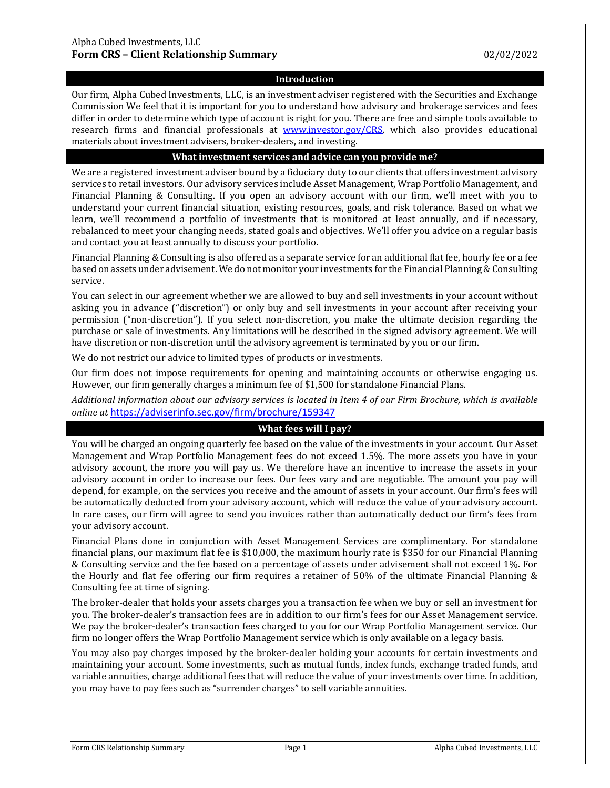### **Introduction**

Our firm, Alpha Cubed Investments, LLC, is an investment adviser registered with the Securities and Exchange Commission We feel that it is important for you to understand how advisory and brokerage services and fees differ in order to determine which type of account is right for you. There are free and simple tools available to research firms and financial professionals at [www.investor.gov/CRS,](http://www.investor.gov/CRS) which also provides educational materials about investment advisers, broker-dealers, and investing.

#### **What investment services and advice can you provide me?**

We are a registered investment adviser bound by a fiduciary duty to our clients that offers investment advisory services to retail investors. Our advisory services include Asset Management, Wrap Portfolio Management, and Financial Planning & Consulting. If you open an advisory account with our firm, we'll meet with you to understand your current financial situation, existing resources, goals, and risk tolerance. Based on what we learn, we'll recommend a portfolio of investments that is monitored at least annually, and if necessary, rebalanced to meet your changing needs, stated goals and objectives. We'll offer you advice on a regular basis and contact you at least annually to discuss your portfolio.

Financial Planning & Consulting is also offered as a separate service for an additional flat fee, hourly fee or a fee based on assets under advisement. We do not monitor your investments for the Financial Planning & Consulting service.

You can select in our agreement whether we are allowed to buy and sell investments in your account without asking you in advance ("discretion") or only buy and sell investments in your account after receiving your permission ("non-discretion"). If you select non-discretion, you make the ultimate decision regarding the purchase or sale of investments. Any limitations will be described in the signed advisory agreement. We will have discretion or non-discretion until the advisory agreement is terminated by you or our firm.

We do not restrict our advice to limited types of products or investments.

Our firm does not impose requirements for opening and maintaining accounts or otherwise engaging us. However, our firm generally charges a minimum fee of \$1,500 for standalone Financial Plans.

*Additional information about our advisory services is located in Item 4 of our Firm Brochure, which is available online at* <https://adviserinfo.sec.gov/firm/brochure/159347>

# **What fees will I pay?**

You will be charged an ongoing quarterly fee based on the value of the investments in your account. Our Asset Management and Wrap Portfolio Management fees do not exceed 1.5%. The more assets you have in your advisory account, the more you will pay us. We therefore have an incentive to increase the assets in your advisory account in order to increase our fees. Our fees vary and are negotiable. The amount you pay will depend, for example, on the services you receive and the amount of assets in your account. Our firm's fees will be automatically deducted from your advisory account, which will reduce the value of your advisory account. In rare cases, our firm will agree to send you invoices rather than automatically deduct our firm's fees from your advisory account.

Financial Plans done in conjunction with Asset Management Services are complimentary. For standalone financial plans, our maximum flat fee is \$10,000, the maximum hourly rate is \$350 for our Financial Planning & Consulting service and the fee based on a percentage of assets under advisement shall not exceed 1%. For the Hourly and flat fee offering our firm requires a retainer of 50% of the ultimate Financial Planning & Consulting fee at time of signing.

The broker-dealer that holds your assets charges you a transaction fee when we buy or sell an investment for you. The broker-dealer's transaction fees are in addition to our firm's fees for our Asset Management service. We pay the broker-dealer's transaction fees charged to you for our Wrap Portfolio Management service. Our firm no longer offers the Wrap Portfolio Management service which is only available on a legacy basis.

You may also pay charges imposed by the broker-dealer holding your accounts for certain investments and maintaining your account. Some investments, such as mutual funds, index funds, exchange traded funds, and variable annuities, charge additional fees that will reduce the value of your investments over time. In addition, you may have to pay fees such as "surrender charges" to sell variable annuities.